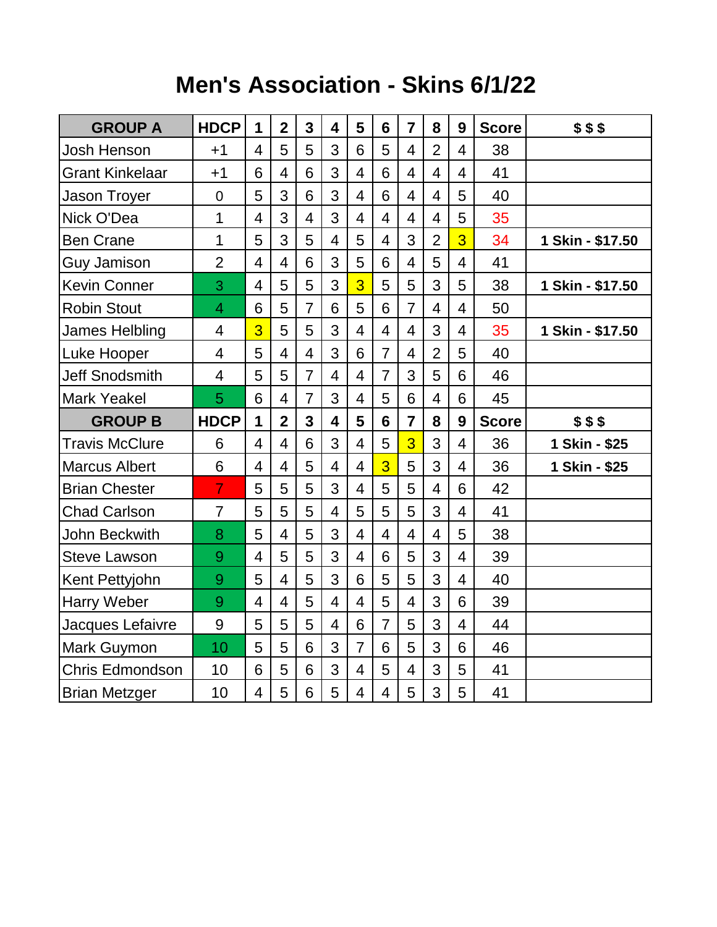## **Men's Association - Skins 6/1/22**

| <b>GROUP A</b>         | <b>HDCP</b>    | 1                        | $\overline{2}$ | 3              | $\overline{\mathbf{4}}$ | 5                        | 6                        | $\overline{7}$  | 8              | 9              | <b>Score</b> | \$55             |
|------------------------|----------------|--------------------------|----------------|----------------|-------------------------|--------------------------|--------------------------|-----------------|----------------|----------------|--------------|------------------|
| <b>Josh Henson</b>     | $+1$           | $\overline{4}$           | 5              | 5              | 3                       | 6                        | 5                        | $\overline{4}$  | $\overline{2}$ | $\overline{4}$ | 38           |                  |
| <b>Grant Kinkelaar</b> | $+1$           | 6                        | $\overline{4}$ | 6              | 3                       | $\overline{4}$           | 6                        | $\overline{4}$  | $\overline{4}$ | $\overline{4}$ | 41           |                  |
| <b>Jason Troyer</b>    | $\overline{0}$ | 5                        | 3              | 6              | 3                       | $\overline{4}$           | 6                        | $\overline{4}$  | $\overline{4}$ | 5              | 40           |                  |
| Nick O'Dea             | 1              | $\overline{\mathcal{A}}$ | 3              | $\overline{4}$ | 3                       | $\overline{4}$           | $\overline{\mathcal{A}}$ | $\overline{4}$  | $\overline{4}$ | 5              | 35           |                  |
| <b>Ben Crane</b>       | $\mathbf 1$    | 5                        | 3              | 5              | $\overline{4}$          | 5                        | $\overline{4}$           | 3               | $\overline{2}$ | $\overline{3}$ | 34           | 1 Skin - \$17.50 |
| <b>Guy Jamison</b>     | $\overline{2}$ | $\overline{4}$           | $\overline{4}$ | 6              | 3                       | 5                        | 6                        | $\overline{4}$  | 5              | $\overline{4}$ | 41           |                  |
| <b>Kevin Conner</b>    | 3              | $\overline{4}$           | 5              | 5              | 3                       | 3                        | 5                        | 5               | 3              | 5              | 38           | 1 Skin - \$17.50 |
| <b>Robin Stout</b>     | 4              | 6                        | 5              | $\overline{7}$ | 6                       | 5                        | 6                        | $\overline{7}$  | $\overline{4}$ | $\overline{4}$ | 50           |                  |
| <b>James Helbling</b>  | 4              | $\overline{3}$           | 5              | 5              | 3                       | $\overline{4}$           | $\overline{4}$           | $\overline{4}$  | 3              | $\overline{4}$ | 35           | 1 Skin - \$17.50 |
| Luke Hooper            | $\overline{4}$ | 5                        | $\overline{4}$ | $\overline{4}$ | 3                       | 6                        | $\overline{7}$           | $\overline{4}$  | $\overline{2}$ | 5              | 40           |                  |
| <b>Jeff Snodsmith</b>  | 4              | 5                        | 5              | $\overline{7}$ | $\overline{4}$          | $\overline{4}$           | $\overline{7}$           | 3               | 5              | 6              | 46           |                  |
| <b>Mark Yeakel</b>     | 5              | 6                        | $\overline{4}$ | $\overline{7}$ | 3                       | $\overline{\mathcal{A}}$ | 5                        | $6\phantom{1}6$ | $\overline{4}$ | 6              | 45           |                  |
|                        |                |                          |                |                |                         |                          |                          |                 |                |                |              |                  |
| <b>GROUP B</b>         | <b>HDCP</b>    | 1                        | $\overline{2}$ | 3              | $\overline{\mathbf{4}}$ | 5                        | 6                        | $\overline{7}$  | 8              | 9              | <b>Score</b> | \$55             |
| <b>Travis McClure</b>  | 6              | $\overline{4}$           | $\overline{4}$ | 6              | 3                       | $\overline{4}$           | 5                        | 3               | 3              | $\overline{4}$ | 36           | 1 Skin - \$25    |
| <b>Marcus Albert</b>   | 6              | $\overline{4}$           | $\overline{4}$ | 5              | $\overline{4}$          | $\overline{4}$           | $\overline{3}$           | 5               | 3              | $\overline{4}$ | 36           | 1 Skin - \$25    |
| <b>Brian Chester</b>   | $\overline{7}$ | 5                        | 5              | 5              | 3                       | $\overline{4}$           | 5                        | 5               | $\overline{4}$ | 6              | 42           |                  |
| <b>Chad Carlson</b>    | $\overline{7}$ | 5                        | 5              | 5              | $\overline{4}$          | 5                        | 5                        | 5               | 3              | $\overline{4}$ | 41           |                  |
| <b>John Beckwith</b>   | 8              | 5                        | $\overline{4}$ | 5              | 3                       | $\overline{4}$           | $\overline{4}$           | $\overline{4}$  | $\overline{4}$ | 5              | 38           |                  |
| <b>Steve Lawson</b>    | 9              | $\overline{4}$           | 5              | 5              | 3                       | $\overline{4}$           | 6                        | 5               | 3              | $\overline{4}$ | 39           |                  |
| Kent Pettyjohn         | 9              | 5                        | $\overline{4}$ | 5              | 3                       | 6                        | 5                        | 5               | 3              | $\overline{4}$ | 40           |                  |
| <b>Harry Weber</b>     | 9              | $\overline{\mathcal{A}}$ | $\overline{4}$ | 5              | $\overline{4}$          | $\overline{\mathcal{A}}$ | 5                        | $\overline{4}$  | 3              | 6              | 39           |                  |
| Jacques Lefaivre       | 9              | 5                        | 5              | 5              | $\overline{4}$          | 6                        | $\overline{7}$           | 5               | 3              | $\overline{4}$ | 44           |                  |
| Mark Guymon            | 10             | 5                        | 5              | 6              | 3                       | $\overline{7}$           | 6                        | 5               | 3              | 6              | 46           |                  |
| Chris Edmondson        | 10             | 6                        | 5              | 6              | 3                       | $\overline{4}$           | 5                        | $\overline{4}$  | 3              | 5              | 41           |                  |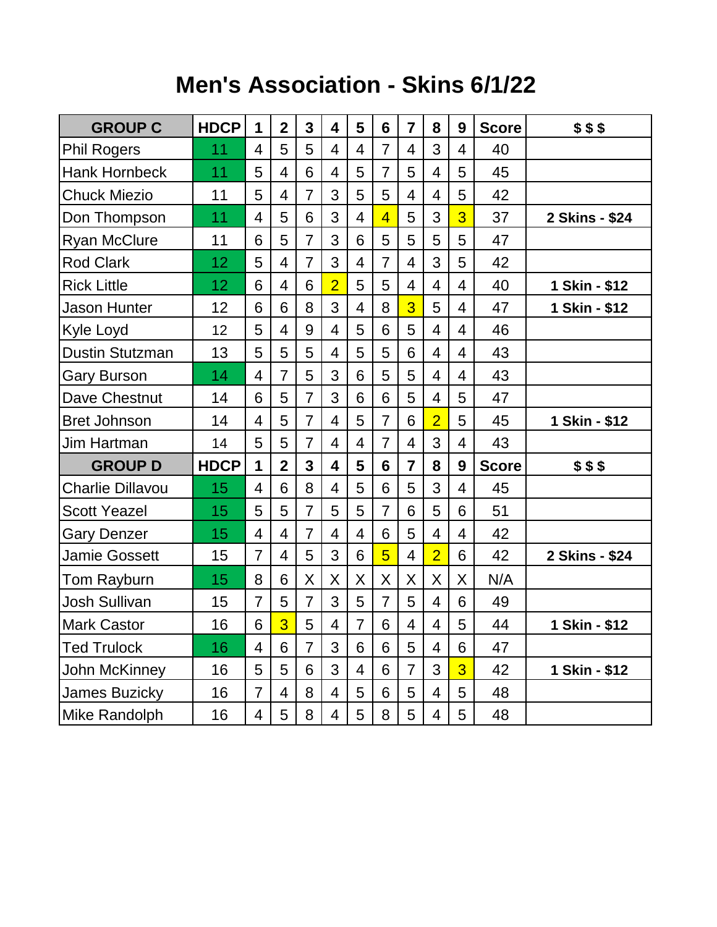## **Men's Association - Skins 6/1/22**

| <b>GROUP C</b>          | <b>HDCP</b> | 1              | $\mathbf{2}$   | 3              | 4              | 5                        | 6              | $\overline{7}$ | 8              | 9              | <b>Score</b> | \$\$\$         |
|-------------------------|-------------|----------------|----------------|----------------|----------------|--------------------------|----------------|----------------|----------------|----------------|--------------|----------------|
| <b>Phil Rogers</b>      | 11          | 4              | 5              | 5              | 4              | 4                        | $\overline{7}$ | 4              | 3              | 4              | 40           |                |
| <b>Hank Hornbeck</b>    | 11          | 5              | $\overline{4}$ | 6              | 4              | 5                        | $\overline{7}$ | 5              | $\overline{4}$ | 5              | 45           |                |
| <b>Chuck Miezio</b>     | 11          | 5              | 4              | $\overline{7}$ | 3              | 5                        | 5              | 4              | $\overline{4}$ | 5              | 42           |                |
| Don Thompson            | 11          | 4              | 5              | 6              | 3              | $\overline{4}$           | $\overline{4}$ | 5              | 3              | 3              | 37           | 2 Skins - \$24 |
| <b>Ryan McClure</b>     | 11          | 6              | 5              | $\overline{7}$ | 3              | 6                        | 5              | 5              | 5              | 5              | 47           |                |
| <b>Rod Clark</b>        | 12          | 5              | 4              | $\overline{7}$ | 3              | 4                        | $\overline{7}$ | $\overline{4}$ | 3              | 5              | 42           |                |
| <b>Rick Little</b>      | 12          | 6              | $\overline{4}$ | 6              | $\overline{2}$ | 5                        | 5              | 4              | $\overline{4}$ | 4              | 40           | 1 Skin - \$12  |
| <b>Jason Hunter</b>     | 12          | 6              | 6              | 8              | 3              | $\overline{\mathcal{A}}$ | 8              | 3              | 5              | $\overline{4}$ | 47           | 1 Skin - \$12  |
| Kyle Loyd               | 12          | 5              | $\overline{4}$ | 9              | $\overline{4}$ | 5                        | 6              | 5              | 4              | $\overline{4}$ | 46           |                |
| <b>Dustin Stutzman</b>  | 13          | 5              | 5              | 5              | 4              | 5                        | 5              | 6              | $\overline{4}$ | 4              | 43           |                |
| <b>Gary Burson</b>      | 14          | 4              | $\overline{7}$ | 5              | 3              | 6                        | 5              | 5              | 4              | 4              | 43           |                |
| Dave Chestnut           | 14          | 6              | 5              | $\overline{7}$ | 3              | 6                        | 6              | 5              | $\overline{4}$ | 5              | 47           |                |
| <b>Bret Johnson</b>     | 14          | 4              | 5              | $\overline{7}$ | 4              | 5                        | $\overline{7}$ | 6              | $\overline{2}$ | 5              | 45           | 1 Skin - \$12  |
| Jim Hartman             | 14          | 5              | 5              | $\overline{7}$ | 4              | 4                        | $\overline{7}$ | 4              | 3              | 4              | 43           |                |
| <b>GROUP D</b>          | <b>HDCP</b> | 1              | $\overline{2}$ | 3              | 4              | 5                        | 6              | $\overline{7}$ | 8              | 9              | <b>Score</b> | \$\$\$         |
| <b>Charlie Dillavou</b> | 15          | $\overline{4}$ | 6              | 8              | 4              | 5                        | 6              | 5              | 3              | 4              | 45           |                |
| <b>Scott Yeazel</b>     | 15          | 5              | 5              | $\overline{7}$ | 5              | 5                        | $\overline{7}$ | 6              | 5              | 6              | 51           |                |
| <b>Gary Denzer</b>      | 15          | $\overline{4}$ | $\overline{4}$ | $\overline{7}$ | $\overline{4}$ | $\overline{4}$           | 6              | 5              | $\overline{4}$ | $\overline{4}$ | 42           |                |
| <b>Jamie Gossett</b>    | 15          | $\overline{7}$ | $\overline{4}$ | 5              | 3              | 6                        | 5              | 4              | $\overline{2}$ | 6              | 42           | 2 Skins - \$24 |
| Tom Rayburn             | 15          | 8              | 6              | Χ              | X              | X                        | X              | Χ              | X              | X              | N/A          |                |
| <b>Josh Sullivan</b>    | 15          | $\overline{7}$ | 5              | $\overline{7}$ | 3              | 5                        | $\overline{7}$ | 5              | $\overline{4}$ | 6              | 49           |                |
| <b>Mark Castor</b>      | 16          | 6              | 3              | 5              | 4              | $\overline{7}$           | 6              | 4              | 4              | 5              | 44           | 1 Skin - \$12  |
| <b>Ted Trulock</b>      | 16          | $\overline{4}$ | 6              | $\overline{7}$ | 3              | 6                        | 6              | 5              | 4              | 6              | 47           |                |
| John McKinney           | 16          | 5              | 5              | 6              | 3              | 4                        | 6              | $\overline{7}$ | 3              | $\overline{3}$ | 42           | 1 Skin - \$12  |
| James Buzicky           | 16          | $\overline{7}$ | 4              | 8              | 4              | 5                        | 6              | 5              | 4              | 5              | 48           |                |
| Mike Randolph           | 16          | 4              | 5              | 8              | 4              | 5                        | 8              | 5              | 4              | 5              | 48           |                |